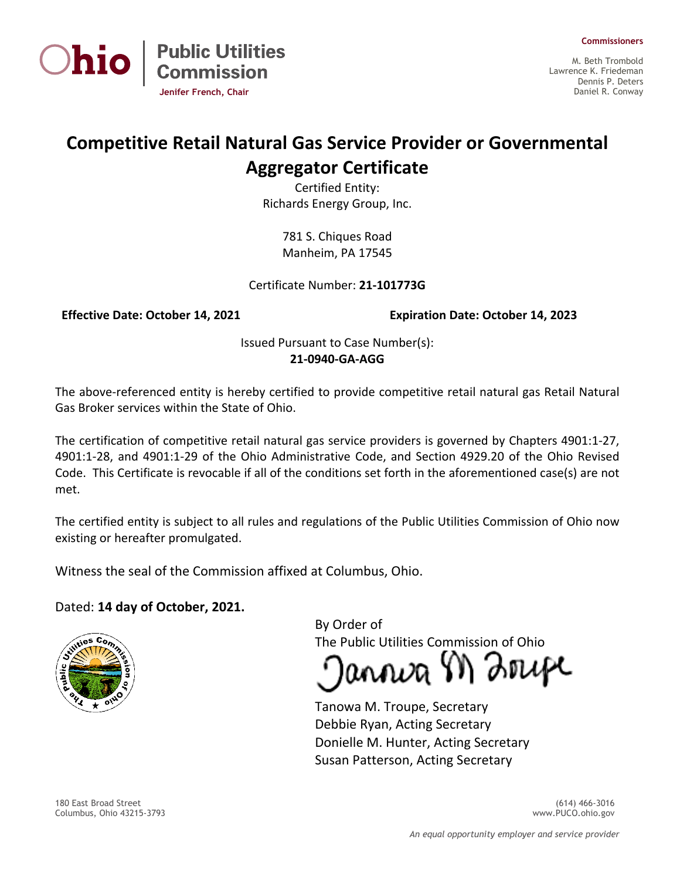



M. Beth Trombold Lawrence K. Friedeman Dennis P. Deters Daniel R. Conway

## **Competitive Retail Natural Gas Service Provider or Governmental Aggregator Certificate**

Certified Entity: Richards Energy Group, Inc.

> 781 S. Chiques Road Manheim, PA 17545

Certificate Number: **21-101773G**

**Jenifer French, Chair**

**Public Utilities<br>Commission** 

**Effective Date: October 14, 2021 Expiration Date: October 14, 2023**

Issued Pursuant to Case Number(s): **21-0940-GA-AGG**

The above-referenced entity is hereby certified to provide competitive retail natural gas Retail Natural Gas Broker services within the State of Ohio.

The certification of competitive retail natural gas service providers is governed by Chapters 4901:1-27, 4901:1-28, and 4901:1-29 of the Ohio Administrative Code, and Section 4929.20 of the Ohio Revised Code. This Certificate is revocable if all of the conditions set forth in the aforementioned case(s) are not met.

The certified entity is subject to all rules and regulations of the Public Utilities Commission of Ohio now existing or hereafter promulgated.

Witness the seal of the Commission affixed at Columbus, Ohio.

## Dated: **14 day of October, 2021.**



By Order of The Public Utilities Commission of Ohio

annva M Zrupe

Tanowa M. Troupe, Secretary Debbie Ryan, Acting Secretary Donielle M. Hunter, Acting Secretary Susan Patterson, Acting Secretary

180 East Broad Street (614) 466-3016 Columbus, Ohio 43215-3793 www.PUCO.ohio.gov